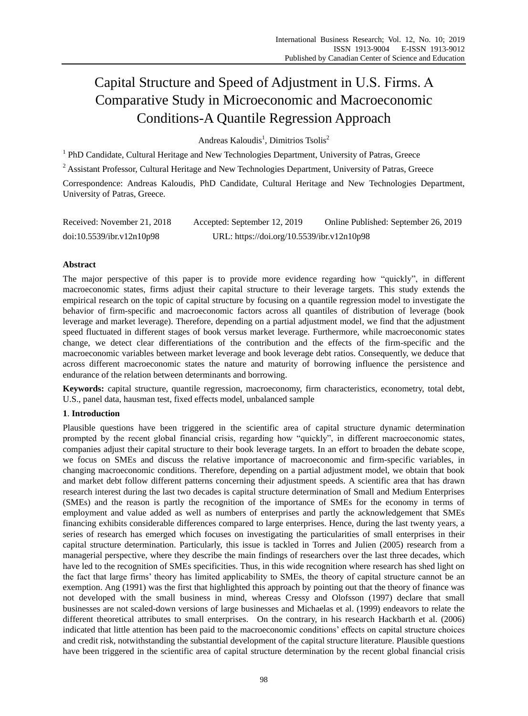# Capital Structure and Speed of Adjustment in U.S. Firms. Α Comparative Study in Microeconomic and Macroeconomic Conditions-A Quantile Regression Approach

Andreas Kaloudis<sup>1</sup>, Dimitrios Tsolis<sup>2</sup>

<sup>1</sup> PhD Candidate, Cultural Heritage and New Technologies Department, University of Patras, Greece

<sup>2</sup> Assistant Professor, Cultural Heritage and New Technologies Department, University of Patras, Greece

Correspondence: Andreas Kaloudis, PhD Candidate, Cultural Heritage and New Technologies Department, University of Patras, Greece.

| Received: November 21, 2018 | Accepted: September 12, 2019               | Online Published: September 26, 2019 |
|-----------------------------|--------------------------------------------|--------------------------------------|
| doi:10.5539/ibr.v12n10p98   | URL: https://doi.org/10.5539/ibr.v12n10p98 |                                      |

# **Abstract**

The major perspective of this paper is to provide more evidence regarding how "quickly", in different macroeconomic states, firms adjust their capital structure to their leverage targets. This study extends the empirical research on the topic of capital structure by focusing on a quantile regression model to investigate the behavior of firm-specific and macroeconomic factors across all quantiles of distribution of leverage (book leverage and market leverage). Therefore, depending on a partial adjustment model, we find that the adjustment speed fluctuated in different stages of book versus market leverage. Furthermore, while macroeconomic states change, we detect clear differentiations of the contribution and the effects of the firm-specific and the macroeconomic variables between market leverage and book leverage debt ratios. Consequently, we deduce that across different macroeconomic states the nature and maturity of borrowing influence the persistence and endurance of the relation between determinants and borrowing.

**Keywords:** capital structure, quantile regression, macroeconomy, firm characteristics, econometry, total debt, U.S., panel data, hausman test, fixed effects model, unbalanced sample

## **1**. **Introduction**

Plausible questions have been triggered in the scientific area of capital structure dynamic determination prompted by the recent global financial crisis, regarding how "quickly", in different macroeconomic states, companies adjust their capital structure to their book leverage targets. In an effort to broaden the debate scope, we focus on SMEs and discuss the relative importance of macroeconomic and firm-specific variables, in changing macroeconomic conditions. Therefore, depending on a partial adjustment model, we obtain that book and market debt follow different patterns concerning their adjustment speeds. A scientific area that has drawn research interest during the last two decades is capital structure determination of Small and Medium Enterprises (SMEs) and the reason is partly the recognition of the importance of SMEs for the economy in terms of employment and value added as well as numbers of enterprises and partly the acknowledgement that SMEs financing exhibits considerable differences compared to large enterprises. Hence, during the last twenty years, a series of research has emerged which focuses on investigating the particularities of small enterprises in their capital structure determination. Particularly, this issue is tackled in Torres and Julien (2005) research from a managerial perspective, where they describe the main findings of researchers over the last three decades, which have led to the recognition of SMEs specificities. Thus, in this wide recognition where research has shed light on the fact that large firms" theory has limited applicability to SMEs, the theory of capital structure cannot be an exemption. Ang (1991) was the first that highlighted this approach by pointing out that the theory of finance was not developed with the small business in mind, whereas Cressy and Olofsson (1997) declare that small businesses are not scaled-down versions of large businesses and Michaelas et al. (1999) endeavors to relate the different theoretical attributes to small enterprises. On the contrary, in his research Hackbarth et al. (2006) indicated that little attention has been paid to the macroeconomic conditions" effects on capital structure choices and credit risk, notwithstanding the substantial development of the capital structure literature. Plausible questions have been triggered in the scientific area of capital structure determination by the recent global financial crisis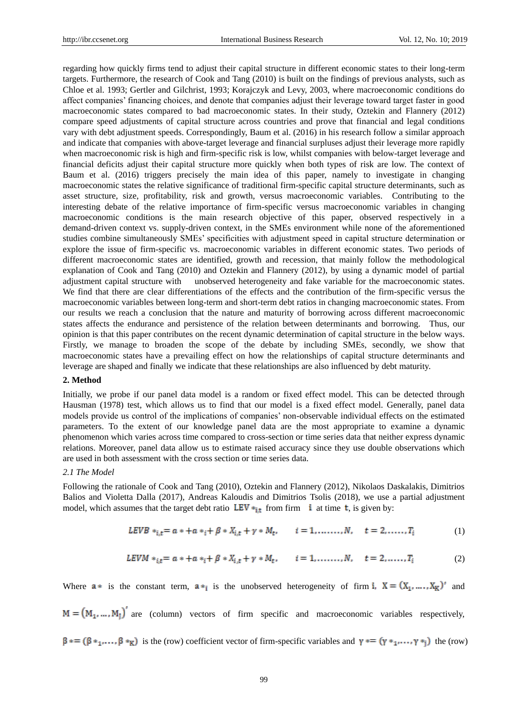regarding how quickly firms tend to adjust their capital structure in different economic states to their long-term targets. Furthermore, the research of Cook and Tang (2010) is built on the findings of previous analysts, such as Chloe et al. 1993; Gertler and Gilchrist, 1993; Korajczyk and Levy, 2003, where macroeconomic conditions do affect companies" financing choices, and denote that companies adjust their leverage toward target faster in good macroeconomic states compared to bad macroeconomic states. In their study, Oztekin and Flannery (2012) compare speed adjustments of capital structure across countries and prove that financial and legal conditions vary with debt adjustment speeds. Correspondingly, Baum et al. (2016) in his research follow a similar approach and indicate that companies with above-target leverage and financial surpluses adjust their leverage more rapidly when macroeconomic risk is high and firm-specific risk is low, whilst companies with below-target leverage and financial deficits adjust their capital structure more quickly when both types of risk are low. The context of Baum et al. (2016) triggers precisely the main idea of this paper, namely to investigate in changing macroeconomic states the relative significance of traditional firm-specific capital structure determinants, such as asset structure, size, profitability, risk and growth, versus macroeconomic variables. Contributing to the interesting debate of the relative importance of firm-specific versus macroeconomic variables in changing macroeconomic conditions is the main research objective of this paper, observed respectively in a demand-driven context vs. supply-driven context, in the SMEs environment while none of the aforementioned studies combine simultaneously SMEs" specificities with adjustment speed in capital structure determination or explore the issue of firm-specific vs. macroeconomic variables in different economic states. Two periods of different macroeconomic states are identified, growth and recession, that mainly follow the methodological explanation of Cook and Tang (2010) and Oztekin and Flannery (2012), by using a dynamic model of partial adjustment capital structure with unobserved heterogeneity and fake variable for the macroeconomic states. We find that there are clear differentiations of the effects and the contribution of the firm-specific versus the macroeconomic variables between long-term and short-term debt ratios in changing macroeconomic states. From our results we reach a conclusion that the nature and maturity of borrowing across different macroeconomic states affects the endurance and persistence of the relation between determinants and borrowing. Thus, our opinion is that this paper contributes on the recent dynamic determination of capital structure in the below ways. Firstly, we manage to broaden the scope of the debate by including SMEs, secondly, we show that macroeconomic states have a prevailing effect on how the relationships of capital structure determinants and leverage are shaped and finally we indicate that these relationships are also influenced by debt maturity.

#### **2. Method**

Initially, we probe if our panel data model is a random or fixed effect model. This can be detected through Hausman (1978) test, which allows us to find that our model is a fixed effect model. Generally, panel data models provide us control of the implications of companies" non-observable individual effects on the estimated parameters. To the extent of our knowledge panel data are the most appropriate to examine a dynamic phenomenon which varies across time compared to cross-section or time series data that neither express dynamic relations. Moreover, panel data allow us to estimate raised accuracy since they use double observations which are used in both assessment with the cross section or time series data.

#### *2.1 The Model*

Following the rationale of Cook and Tang (2010), Oztekin and Flannery (2012), Nikolaos Daskalakis, Dimitrios Balios and Violetta Dalla (2017), Andreas Kaloudis and Dimitrios Tsolis (2018), we use a partial adjustment model, which assumes that the target debt ratio  $LEV *_{it}$  from firm **i** at time **t**, is given by:

$$
LEVB *_{i,t} = a * + a *_{i} + \beta * X_{i,t} + \gamma * M_{t}, \qquad i = 1, \dots, N, \quad t = 2, \dots, T_{i}
$$
 (1)

$$
LEVM *_{it} = a * + a *_{i} + \beta * X_{i,t} + \gamma * M_{t}, \qquad i = 1, ..., N, \qquad t = 2, ..., T_{i}
$$
 (2)

Where  $a *$  is the constant term,  $a *_{i}$  is the unobserved heterogeneity of firm i,  $X = (X_{1}, ..., X_{K})'$  and

 $M = (M_1, ..., M_I)$  are (column) vectors of firm specific and macroeconomic variables respectively,

 $\beta$  =  $(\beta *_{1}, \dots, \beta *_{K})$  is the (row) coefficient vector of firm-specific variables and  $\gamma$  =  $(\gamma *_{1}, \dots, \gamma *_{i})$  the (row)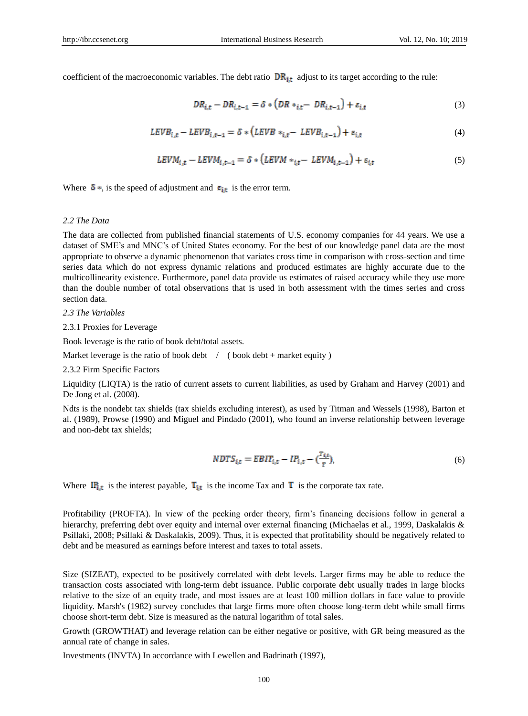coefficient of the macroeconomic variables. The debt ratio  $DR_{i,t}$  adjust to its target according to the rule:

$$
DR_{i,t} - DR_{i,t-1} = \delta * \left( DR *_{i,t} - DR_{i,t-1} \right) + \varepsilon_{i,t} \tag{3}
$$

$$
LEVB_{i,t} - LEVB_{i,t-1} = \delta * (LEVB *_{i,t} - LEVB_{i,t-1}) + \varepsilon_{i,t}
$$
\n
$$
\tag{4}
$$

$$
LEVM_{i,t} - LEVM_{i,t-1} = \delta * (LEVM *_{i,t} - LEVM_{i,t-1}) + \varepsilon_{i,t}
$$
\n
$$
\tag{5}
$$

Where  $\delta$  \*, is the speed of adjustment and  $\epsilon_{i,t}$  is the error term.

#### *2.2 The Data*

The data are collected from published financial statements of U.S. economy companies for 44 years. We use a dataset of SME's and MNC's of United States economy. For the best of our knowledge panel data are the most appropriate to observe a dynamic phenomenon that variates cross time in comparison with cross-section and time series data which do not express dynamic relations and produced estimates are highly accurate due to the multicollinearity existence. Furthermore, panel data provide us estimates of raised accuracy while they use more than the double number of total observations that is used in both assessment with the times series and cross section data.

*2.3 The Variables*

2.3.1 Proxies for Leverage

Book leverage is the ratio of book debt/total assets.

Market leverage is the ratio of book debt  $\ / \ ($  book debt + market equity )

2.3.2 Firm Specific Factors

Liquidity (LIQTA) is the ratio of current assets to current liabilities, as used by Graham and Harvey (2001) and De Jong et al. (2008).

Ndts is the nondebt tax shields (tax shields excluding interest), as used by Titman and Wessels (1998), Barton et al. (1989), Prowse (1990) and Miguel and Pindado (2001), who found an inverse relationship between leverage and non-debt tax shields;

$$
NDTS_{i,t} = EBIT_{i,t} - IP_{i,t} - \left(\frac{T_{i,t}}{\pi}\right)
$$
\n
$$
\tag{6}
$$

Where  $\mathbf{I}_{i,t}^{\mathbf{r}}$  is the interest payable,  $\mathbf{T}_{i,t}$  is the income Tax and  $\mathbf{T}$  is the corporate tax rate.

Profitability (PROFTA). In view of the pecking order theory, firm"s financing decisions follow in general a hierarchy, preferring debt over equity and internal over external financing (Michaelas et al., 1999, Daskalakis & Psillaki, 2008; Psillaki & Daskalakis, 2009). Thus, it is expected that profitability should be negatively related to debt and be measured as earnings before interest and taxes to total assets.

Size (SIZEAT), expected to be positively correlated with debt levels. Larger firms may be able to reduce the transaction costs associated with long-term debt issuance. Public corporate debt usually trades in large blocks relative to the size of an equity trade, and most issues are at least 100 million dollars in face value to provide liquidity. Marsh's (1982) survey concludes that large firms more often choose long-term debt while small firms choose short-term debt. Size is measured as the natural logarithm of total sales.

Growth (GROWTHAT) and leverage relation can be either negative or positive, with GR being measured as the annual rate of change in sales.

Investments (INVTA) In accordance with Lewellen and Badrinath (1997),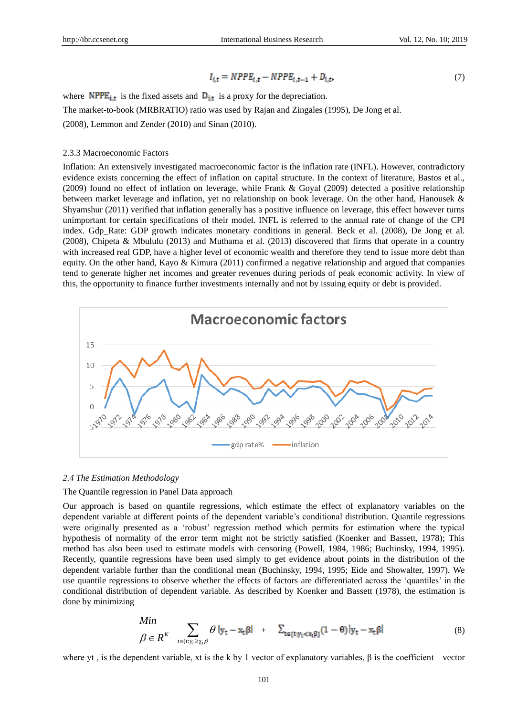$$
I_{i,t} = NPPE_{i,t} - NPPE_{i,t-1} + D_{i,t},\tag{7}
$$

where  $\text{NPPE}_{i,t}$  is the fixed assets and  $D_{i,t}$  is a proxy for the depreciation. The market-to-book (MRBRATIO) ratio was used by Rajan and Zingales (1995), De Jong et al. (2008), Lemmon and Zender (2010) and Sinan (2010).

## 2.3.3 Macroeconomic Factors

Inflation: An extensively investigated macroeconomic factor is the inflation rate (INFL). However, contradictory evidence exists concerning the effect of inflation on capital structure. In the context of literature, Bastos et al., (2009) found no effect of inflation on leverage, while Frank & Goyal (2009) detected a positive relationship between market leverage and inflation, yet no relationship on book leverage. On the other hand, Hanousek & Shyamshur (2011) verified that inflation generally has a positive influence on leverage, this effect however turns unimportant for certain specifications of their model. INFL is referred to the annual rate of change of the CPI index. Gdp\_Rate: GDP growth indicates monetary conditions in general. Beck et al. (2008), De Jong et al. (2008), Chipeta & Mbululu (2013) and Muthama et al. (2013) discovered that firms that operate in a country with increased real GDP, have a higher level of economic wealth and therefore they tend to issue more debt than equity. On the other hand, Kayo & Kimura (2011) confirmed a negative relationship and argued that companies tend to generate higher net incomes and greater revenues during periods of peak economic activity. In view of this, the opportunity to finance further investments internally and not by issuing equity or debt is provided.



#### *2.4 The Estimation Methodology*

## The Quantile regression in Panel Data approach

Our approach is based on quantile regressions, which estimate the effect of explanatory variables on the dependent variable at different points of the dependent variable"s conditional distribution. Quantile regressions were originally presented as a "robust" regression method which permits for estimation where the typical hypothesis of normality of the error term might not be strictly satisfied (Koenker and Bassett, 1978); This method has also been used to estimate models with censoring (Powell, 1984, 1986; Buchinsky, 1994, 1995). Recently, quantile regressions have been used simply to get evidence about points in the distribution of the dependent variable further than the conditional mean (Buchinsky, 1994, 1995; Eide and Showalter, 1997). We use quantile regressions to observe whether the effects of factors are differentiated across the "quantiles" in the conditional distribution of dependent variable. As described by Koenker and Bassett (1978), the estimation is done by minimizing

$$
\begin{aligned}\nMin & \sum_{t \in \{t: y_t \ge x_t, \beta} \theta \| \mathbf{y}_t - \mathbf{x}_t \beta \| + \sum_{t \in \{t: y_t < x_t \beta\}} (1 - \theta) \| \mathbf{y}_t - \mathbf{x}_t \beta \| \tag{8}\n\end{aligned}
$$

where yt, is the dependent variable, xt is the k by 1 vector of explanatory variables,  $\beta$  is the coefficient vector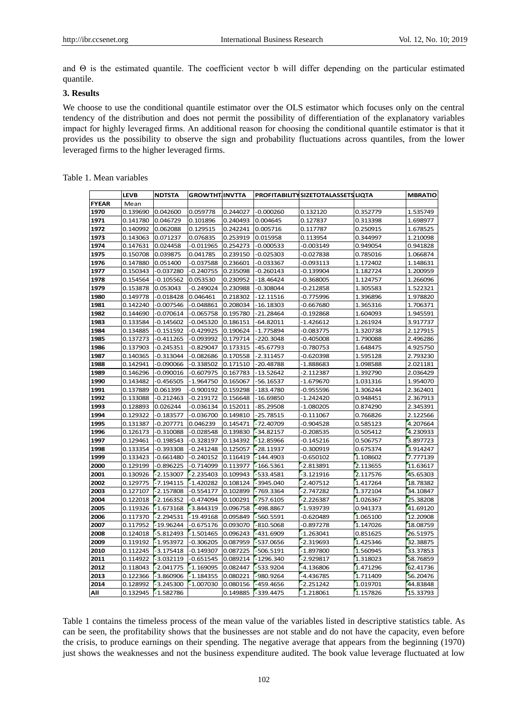and Θ is the estimated quantile. The coefficient vector b will differ depending on the particular estimated quantile.

# **3. Results**

We choose to use the conditional quantile estimator over the OLS estimator which focuses only on the central tendency of the distribution and does not permit the possibility of differentiation of the explanatory variables impact for highly leveraged firms. An additional reason for choosing the conditional quantile estimator is that it provides us the possibility to observe the sign and probability fluctuations across quantiles, from the lower leveraged firms to the higher leveraged firms.

|              | LEVB     | <b>NDTSTA</b> | <b>GROWTHT INVTTA</b> |          |             | PROFITABILITY SIZETOTALASSETS LIQTA |          | <b>MBRATIO</b> |
|--------------|----------|---------------|-----------------------|----------|-------------|-------------------------------------|----------|----------------|
| <b>FYEAR</b> | Mean     |               |                       |          |             |                                     |          |                |
| 1970         | 0.139690 | 0.042600      | 0.059778              | 0.244027 | $-0.000260$ | 0.132120                            | 0.352779 | 1.535749       |
| 1971         | 0.141780 | 0.046729      | 0.101896              | 0.240493 | 0.004645    | 0.127837                            | 0.313398 | 1.698977       |
| 1972         | 0.140992 | 0.062088      | 0.129515              | 0.242241 | 0.005716    | 0.117787                            | 0.250915 | 1.678525       |
| 1973         | 0.143063 | 0.071237      | 0.076835              | 0.253919 | 0.015958    | 0.113954                            | 0.344997 | 1.210098       |
| 1974         | 0.147631 | 0.024458      | $-0.011965$           | 0.254273 | -0.000533   | 0.003149-                           | 0.949054 | 0.941828       |
| 1975         | 0.150708 | 0.039875      | 0.041785              | 0.239150 | $-0.025303$ | 0.027838                            | 0.785016 | 1.066874       |
| 1976         | 0.147880 | 0.051400      | $-0.037588$           | 0.236601 | -0.033367   | 0.093113                            | 1.172402 | 1.148631       |
| 1977         | 0.150343 | -0.037280     | -0.240755             | 0.235098 | -0.260143   | -0.139904                           | 1.182724 | 1.200959       |
| 1978         | 0.154564 | -0.105562     | 0.053530              | 0.230952 | -18.46424   | $-0.368005$                         | 1.124757 | 1.266096       |
| 1979         | 0.153878 | 0.053043      | -0.249024             | 0.230988 | $-0.308044$ | 0.212858                            | 1.305583 | 1.522321       |
| 1980         | 0.149778 | -0.018428     | 0.046461              | 0.218302 | -12.11516   | -0.775996                           | 1.396896 | 1.978820       |
| 1981         | 0.142240 | 0.007546      | $-0.048861$           | 0.208034 | -16.18303   | 0.667680-                           | 1.365316 | 1.706371       |
| 1982         | 0.144690 | -0.070614     | 0.065758-             | 0.195780 | -21.28464   | -0.192868                           | 1.604093 | 1.945591       |
| 1983         | 0.133584 | -0.145602     | $-0.045320$           | 0.186151 | -64.82011   | -1.426612                           | 1.261924 | 3.917737       |
| 1984         | 0.134885 | -0.151592     | 0.429925              | 0.190624 | -1.775894   | $-0.083775$                         | 1.320738 | 2.127915       |
| 1985         | 0.137273 | -0.411265     | 0.093992-             | 0.179714 | -220.3048   | 0.405008-                           | 1.790088 | 2.496286       |
| 1986         | 0.137903 | -0.245351     | 0.829047              | 0.173315 | -45.67793   | -0.780753                           | 1.648475 | 4.925750       |
| 1987         | 0.140365 | -0.313044     | -0.082686             | 0.170558 | $-2.311457$ | -0.620398                           | 1.595128 | 2.793230       |
| 1988         | 0.142941 | -0.090066     | -0.338502             | 0.171510 | -20.48788   | -1.888683                           | 1.098588 | 2.021181       |
| 1989         | 0.146296 | $-0.090016$   | -0.607975             | 0.167783 | $-13.52642$ | -2.112387                           | 1.392790 | 2.036429       |
| 1990         | 0.143482 | -0.456505     | -1.964750             | 0.165067 | -56.16537   | -1.679670                           | 1.031316 | 1.954070       |
| 1991         | 0.137889 | 0.061399      | 0.900192              | 0.159298 | -183.4780   | -0.955596                           | 1.306244 | 2.362401       |
| 1992         | 0.133088 | -0.212463     | -0.219172             | 0.156648 | -16.69850   | -1.242420                           | 0.948451 | 2.367913       |
| 1993         | 0.128893 | 0.026244      | $-0.036134$           | 0.152011 | $-85.29508$ | -1.080205                           | 0.874290 | 2.345391       |
| 1994         | 0.129322 | -0.183577     | -0.036700             | 0.149810 | -25.78515   | -0.111067                           | 0.766826 | 2.122566       |
| 1995         | 0.131387 | -0.207771     | 0.046239              | 0.145471 | -72.40709   | 0.904528-                           | 0.585123 | 4.207664       |
| 1996         | 0.126173 | $-0.310088$   | -0.028548             | 0.139830 | -34.82157   | -0.208535                           | 0.505412 | 4.230933       |
| 1997         | 0.129461 | -0.198543     | $-0.328197$           | 0.134392 | $-12.85966$ | -0.145216                           | 0.506757 | 3.897723       |
| 1998         | 0.133354 | -0.393308     | -0.241248             | 0.125057 | $-28.11937$ | 0.300919                            | 0.675374 | 3.914247       |
| 1999         | 0.133423 | $-0.661480$   | $-0.240152$           | 0.116419 | $-144.4903$ | $-0.650102$                         | 1.108602 | 7.777139       |
| 2000         | 0.129199 | -0.896225     | 0.714099              | 0.113977 | $-166.5361$ | $-2.813891$                         | 2.113655 | 11.63617       |
| 2001         | 0.130926 | $-2.153007$   | -2.235403             | 0.109943 | -533.4581   | $-3.121916$                         | 2.117576 | 45.65303       |
| 2002         | 0.129775 | $-7.194115$   | $-1.420282$           | 0.108124 | -3945.040   | -2.407512                           | 1.417264 | 18.78382       |
| 2003         | 0.127107 | $-2.157808$   | $-0.554177$           | 0.102899 | -769.3364   | $-2.747282$                         | 1.372104 | 34.10847       |
| 2004         | 0.122018 | $-2.166352$   | -0.474094             | 0.100291 | $-757.6105$ | $-2.226387$                         | 1.026367 | 25.38208       |
| 2005         | 0.119326 | $-1.673168$   | -3.844319             | 0.096758 | -498.8867   | -1.939739                           | 0.941373 | 41.69120       |
| 2006         | 0.117370 | $-2.294531$   | $-19.49168$           | 0.095849 | -560.5591   | -0.620489                           | 1.065100 | 12.20908       |
| 2007         | 0.117952 | $-19.96244$   | -0.675176             | 0.093070 | $-810.5068$ | $-0.897278$                         | 1.147026 | 18.08759       |
| 2008         | 0.124018 | $-5.812493$   | $-1.501465$           | 0.096243 | -431.6909   | $-1.263041$                         | 0.851625 | 26.51975       |
| 2009         | 0.119192 | $-1.953972$   | -0.306205             | 0.087959 | -537.0656   | $-2.319693$                         | 1.425346 | 32.38875       |
| 2010         | 0.112245 | $-3.175418$   | $-0.149307$           | 0.087225 | $-506.5191$ | $-1.897800$                         | 1.560945 | 33.37853       |
| 2011         | 0.114922 | $-3.032119$   | $-0.651545$           | 0.089214 | $-1296.340$ | $-2.929817$                         | 1.318023 | 58.76859       |
| 2012         | 0.118043 | $-2.041775$   | $-1.169095$           | 0.082447 | -533.9204   | -4.136806                           | 1.471296 | 62.41736       |
| 2013         | 0.122366 | $-3.860906$   | $-1.184355$           | 0.080221 | -980.9264   | -4.436785                           | 1.711409 | 56.20476       |
| 2014         | 0.128992 | $-3.245300$   | $-1.007030$           | 0.080156 | -459.4656   | $-2.251242$                         | 1.019701 | 44.83848       |
| All          | 0.132945 | $-1.582786$   |                       | 0.149885 | $-339.4475$ | $-1.218061$                         | 1.157826 | 15.33793       |

Table 1. Mean variables

Table 1 contains the timeless process of the mean value of the variables listed in descriptive statistics table. As can be seen, the profitability shows that the businesses are not stable and do not have the capacity, even before the crisis, to produce earnings on their spending. The negative average that appears from the beginning (1970) just shows the weaknesses and not the business expenditure audited. The book value leverage fluctuated at low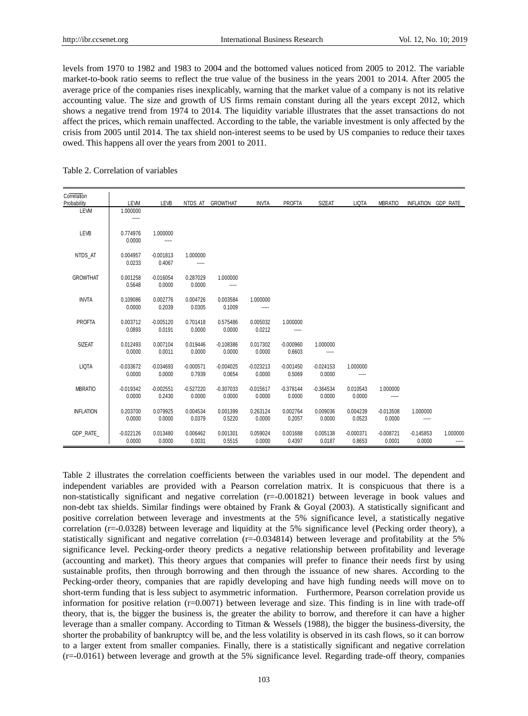levels from 1970 to 1982 and 1983 to 2004 and the bottomed values noticed from 2005 to 2012. The variable market-to-book ratio seems to reflect the true value of the business in the years 2001 to 2014. After 2005 the average price of the companies rises inexplicably, warning that the market value of a company is not its relative accounting value. The size and growth of US firms remain constant during all the years except 2012, which shows a negative trend from 1974 to 2014. The liquidity variable illustrates that the asset transactions do not affect the prices, which remain unaffected. According to the table, the variable investment is only affected by the crisis from 2005 until 2014. The tax shield non-interest seems to be used by US companies to reduce their taxes owed. This happens all over the years from 2001 to 2011.

#### Table 2. Correlation of variables

| Correlation<br>Probability | LEVM                  | LEVB                  |                       | NTDS AT GROWTHAT      | <b>INVTA</b>          | <b>PROFTA</b>         | <b>SIZEAT</b>         | <b>LIQTA</b>          | <b>MBRATIO</b>        | INFLATION GDP RATE    |                   |
|----------------------------|-----------------------|-----------------------|-----------------------|-----------------------|-----------------------|-----------------------|-----------------------|-----------------------|-----------------------|-----------------------|-------------------|
| LEVM                       | 1.000000<br>-----     |                       |                       |                       |                       |                       |                       |                       |                       |                       |                   |
| LEVB                       | 0.774976<br>0.0000    | 1.000000<br>-----     |                       |                       |                       |                       |                       |                       |                       |                       |                   |
| NTDS AT                    | 0.004957<br>0.0233    | $-0.001813$<br>0.4067 | 1.000000<br>-----     |                       |                       |                       |                       |                       |                       |                       |                   |
| <b>GROWTHAT</b>            | 0.001258<br>0.5648    | $-0.016054$<br>0.0000 | 0.287029<br>0.0000    | 1.000000<br>-----     |                       |                       |                       |                       |                       |                       |                   |
| <b>INVTA</b>               | 0.109086<br>0.0000    | 0.002776<br>0.2039    | 0.004726<br>0.0305    | 0.003584<br>0.1009    | 1.000000              |                       |                       |                       |                       |                       |                   |
| <b>PROFTA</b>              | 0.003712<br>0.0893    | $-0.005120$<br>0.0191 | 0.701418<br>0.0000    | 0.575486<br>0.0000    | 0.005032<br>0.0212    | 1.000000<br>-----     |                       |                       |                       |                       |                   |
| <b>SIZEAT</b>              | 0.012493<br>0.0000    | 0.007104<br>0.0011    | 0.019446<br>0.0000    | $-0.108386$<br>0.0000 | 0.017302<br>0.0000    | $-0.000960$<br>0.6603 | 1.000000<br>-----     |                       |                       |                       |                   |
| <b>LIQTA</b>               | $-0.033672$<br>0.0000 | $-0.034693$<br>0.0000 | $-0.000571$<br>0.7939 | $-0.004025$<br>0.0654 | $-0.023213$<br>0.0000 | $-0.001450$<br>0.5069 | $-0.024153$<br>0.0000 | 1.000000<br>-----     |                       |                       |                   |
| <b>MBRATIO</b>             | $-0.019342$<br>0.0000 | $-0.002551$<br>0.2430 | $-0.527220$<br>0.0000 | $-0.307033$<br>0.0000 | $-0.015617$<br>0.0000 | $-0.378144$<br>0.0000 | $-0.364534$<br>0.0000 | 0.010543<br>0.0000    | 1.000000<br>-----     |                       |                   |
| <b>INFLATION</b>           | 0.203700<br>0.0000    | 0.079925<br>0.0000    | 0.004534<br>0.0379    | 0.001399<br>0.5220    | 0.263124<br>0.0000    | 0.002764<br>0.2057    | 0.009036<br>0.0000    | 0.004239<br>0.0523    | $-0.013508$<br>0.0000 | 1.000000<br>-----     |                   |
| <b>GDP RATE</b>            | $-0.022126$<br>0.0000 | 0.013480<br>0.0000    | 0.006462<br>0.0031    | 0.001301<br>0.5515    | 0.059024<br>0.0000    | 0.001688<br>0.4397    | 0.005138<br>0.0187    | $-0.000371$<br>0.8653 | $-0.008721$<br>0.0001 | $-0.145853$<br>0.0000 | 1.000000<br>----- |

Table 2 illustrates the correlation coefficients between the variables used in our model. The dependent and independent variables are provided with a Pearson correlation matrix. It is conspicuous that there is a non-statistically significant and negative correlation (r=-0.001821) between leverage in book values and non-debt tax shields. Similar findings were obtained by Frank & Goyal (2003). A statistically significant and positive correlation between leverage and investments at the 5% significance level, a statistically negative correlation (r=-0.0328) between leverage and liquidity at the 5% significance level (Pecking order theory), a statistically significant and negative correlation  $(r=-0.034814)$  between leverage and profitability at the 5% significance level. Pecking-order theory predicts a negative relationship between profitability and leverage (accounting and market). This theory argues that companies will prefer to finance their needs first by using sustainable profits, then through borrowing and then through the issuance of new shares. According to the Pecking-order theory, companies that are rapidly developing and have high funding needs will move on to short-term funding that is less subject to asymmetric information. Furthermore, Pearson correlation provide us information for positive relation  $(r=0.0071)$  between leverage and size. This finding is in line with trade-off theory, that is, the bigger the business is, the greater the ability to borrow, and therefore it can have a higher leverage than a smaller company. According to Titman & Wessels (1988), the bigger the business-diversity, the shorter the probability of bankruptcy will be, and the less volatility is observed in its cash flows, so it can borrow to a larger extent from smaller companies. Finally, there is a statistically significant and negative correlation (r=-0.0161) between leverage and growth at the 5% significance level. Regarding trade-off theory, companies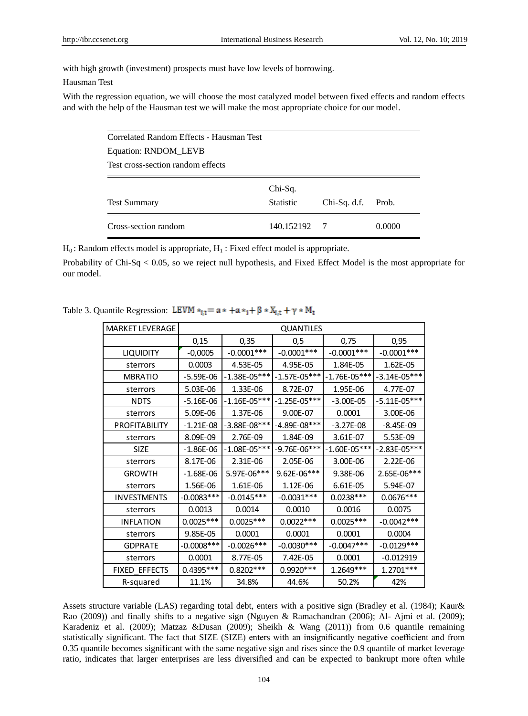with high growth (investment) prospects must have low levels of borrowing.

### Hausman Test

With the regression equation, we will choose the most catalyzed model between fixed effects and random effects and with the help of the Hausman test we will make the most appropriate choice for our model.

| Correlated Random Effects - Hausman Test |                  |                |        |  |  |  |  |  |
|------------------------------------------|------------------|----------------|--------|--|--|--|--|--|
| Equation: RNDOM_LEVB                     |                  |                |        |  |  |  |  |  |
| Test cross-section random effects        |                  |                |        |  |  |  |  |  |
|                                          | Chi-Sq.          |                |        |  |  |  |  |  |
| <b>Test Summary</b>                      | <b>Statistic</b> | $Chi-Sq. d.f.$ | Prob.  |  |  |  |  |  |
| Cross-section random                     | 140.152192       | $\overline{7}$ | 0.0000 |  |  |  |  |  |

 $H_0$ : Random effects model is appropriate,  $H_1$ : Fixed effect model is appropriate.

Probability of Chi-Sq < 0.05, so we reject null hypothesis, and Fixed Effect Model is the most appropriate for our model.

| <b>MARKET LEVERAGE</b> | QUANTILES     |                |                  |                  |                |  |  |  |
|------------------------|---------------|----------------|------------------|------------------|----------------|--|--|--|
|                        | 0,15          | 0,35           | 0,5              | 0,75             | 0,95           |  |  |  |
| <b>LIQUIDITY</b>       | $-0,0005$     | $-0.0001***$   | $-0.0001***$     | $-0.0001***$     | $-0.0001***$   |  |  |  |
| sterrors               | 0.0003        | 4.53E-05       | 4.95E-05         | 1.84E-05         | 1.62E-05       |  |  |  |
| <b>MBRATIO</b>         | $-5.59E-06$   | $-1.38E-05***$ | $-1.57E-05***$   | $-1.76E - 05***$ | $-3.14E-05***$ |  |  |  |
| sterrors               | 5.03E-06      | 1.33E-06       | 8.72E-07         | 1.95E-06         | 4.77E-07       |  |  |  |
| <b>NDTS</b>            | $-5.16E-06$   | $-1.16E-05***$ | $-1.25E - 05***$ | $-3.00E-05$      | $-5.11E-05***$ |  |  |  |
| sterrors               | 5.09E-06      | 1.37E-06       | 9.00E-07         | 0.0001           | 3.00E-06       |  |  |  |
| <b>PROFITABILITY</b>   | $-1.21E-08$   | -3.88E-08***   | $-4.89E-08***$   | $-3.27E-08$      | $-8.45E-09$    |  |  |  |
| sterrors               | 8.09E-09      | 2.76E-09       | 1.84E-09         | 3.61E-07         | 5.53E-09       |  |  |  |
| <b>SIZE</b>            | $-1.86E-06$   | $-1.08E-05***$ | -9.76E-06***     | $-1.60E-05***$   | $-2.83E-05***$ |  |  |  |
| sterrors               | 8.17E-06      | 2.31E-06       | 2.05E-06         | 3.00E-06         | 2.22E-06       |  |  |  |
| <b>GROWTH</b>          | $-1.68E-06$   | 5.97E-06***    | 9.62E-06***      | 9.38E-06         | 2.65E-06***    |  |  |  |
| sterrors               | 1.56E-06      | 1.61E-06       | 1.12E-06         | 6.61E-05         | 5.94E-07       |  |  |  |
| <b>INVESTMENTS</b>     | $-0.0083***$  | $-0.0145***$   | $-0.0031***$     | $0.0238***$      | $0.0676***$    |  |  |  |
| sterrors               | 0.0013        | 0.0014         | 0.0010           | 0.0016           | 0.0075         |  |  |  |
| <b>INFLATION</b>       | $0.0025***$   | $0.0025***$    | $0.0022***$      | $0.0025***$      | $-0.0042***$   |  |  |  |
| sterrors               | 9.85E-05      | 0.0001         | 0.0001           | 0.0001           | 0.0004         |  |  |  |
| <b>GDPRATE</b>         | $-0.0008$ *** | $-0.0026***$   | $-0.0030***$     | $-0.0047***$     | $-0.0129***$   |  |  |  |
| sterrors               | 0.0001        | 8.77E-05       | 7.42E-05         | 0.0001           | $-0.012919$    |  |  |  |
| FIXED_EFFECTS          | $0.4395***$   | $0.8202***$    | 0.9920 ***       | 1.2649***        | 1.2701 ***     |  |  |  |
| R-squared              | 11.1%         | 34.8%          | 44.6%            | 50.2%            | 42%            |  |  |  |

Table 3. Quantile Regression: LEVM  $*_{{\bf i},{\bf t}} = {\bf a} * + {\bf a} *_{\bf i} + \beta * X_{{\bf i},{\bf t}} + \gamma * M_{\bf t}$ 

Assets structure variable (LAS) regarding total debt, enters with a positive sign (Bradley et al. (1984); Kaur& Rao (2009)) and finally shifts to a negative sign (Nguyen & Ramachandran (2006); Al- Ajmi et al. (2009); Karadeniz et al. (2009); Matzaz &Dusan (2009); Sheikh & Wang (2011)) from 0.6 quantile remaining statistically significant. The fact that SIZE (SIZE) enters with an insignificantly negative coefficient and from 0.35 quantile becomes significant with the same negative sign and rises since the 0.9 quantile of market leverage ratio, indicates that larger enterprises are less diversified and can be expected to bankrupt more often while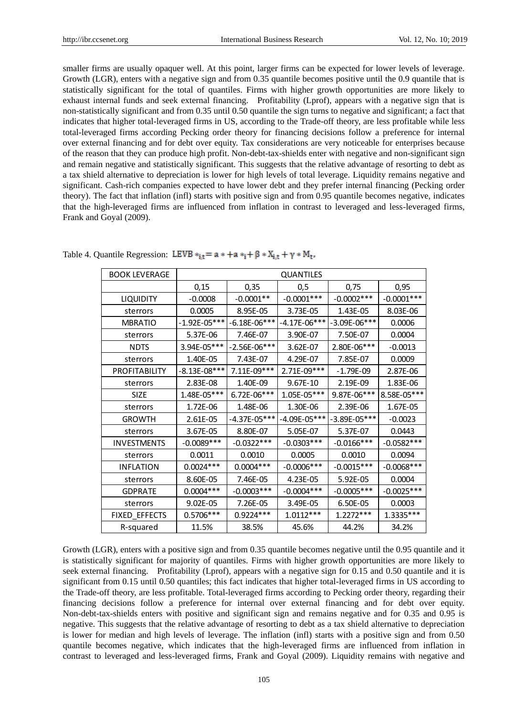smaller firms are usually opaquer well. At this point, larger firms can be expected for lower levels of leverage. Growth (LGR), enters with a negative sign and from 0.35 quantile becomes positive until the 0.9 quantile that is statistically significant for the total of quantiles. Firms with higher growth opportunities are more likely to exhaust internal funds and seek external financing. Profitability (Lprof), appears with a negative sign that is non-statistically significant and from 0.35 until 0.50 quantile the sign turns to negative and significant; a fact that indicates that higher total-leveraged firms in US, according to the Trade-off theory, are less profitable while less total-leveraged firms according Pecking order theory for financing decisions follow a preference for internal over external financing and for debt over equity. Tax considerations are very noticeable for enterprises because of the reason that they can produce high profit. Non-debt-tax-shields enter with negative and non-significant sign and remain negative and statistically significant. This suggests that the relative advantage of resorting to debt as a tax shield alternative to depreciation is lower for high levels of total leverage. Liquidity remains negative and significant. Cash-rich companies expected to have lower debt and they prefer internal financing (Pecking order theory). The fact that inflation (infl) starts with positive sign and from 0.95 quantile becomes negative, indicates that the high-leveraged firms are influenced from inflation in contrast to leveraged and less-leveraged firms, Frank and Goyal (2009).

| <b>BOOK LEVERAGE</b>                                                                                                                                                                                                                                                                                                                                                                                                                                                                                                                                                                                                                                                                                                                                                                                                                                                                                                                                                                                                                                                           | <b>QUANTILES</b> |                  |                  |              |              |  |
|--------------------------------------------------------------------------------------------------------------------------------------------------------------------------------------------------------------------------------------------------------------------------------------------------------------------------------------------------------------------------------------------------------------------------------------------------------------------------------------------------------------------------------------------------------------------------------------------------------------------------------------------------------------------------------------------------------------------------------------------------------------------------------------------------------------------------------------------------------------------------------------------------------------------------------------------------------------------------------------------------------------------------------------------------------------------------------|------------------|------------------|------------------|--------------|--------------|--|
|                                                                                                                                                                                                                                                                                                                                                                                                                                                                                                                                                                                                                                                                                                                                                                                                                                                                                                                                                                                                                                                                                | 0,15             | 0,35             | 0,5              | 0,75         | 0,95         |  |
| <b>LIQUIDITY</b>                                                                                                                                                                                                                                                                                                                                                                                                                                                                                                                                                                                                                                                                                                                                                                                                                                                                                                                                                                                                                                                               | $-0.0008$        | $-0.0001**$      | $-0.0001***$     | $-0.0002***$ | $-0.0001***$ |  |
| sterrors                                                                                                                                                                                                                                                                                                                                                                                                                                                                                                                                                                                                                                                                                                                                                                                                                                                                                                                                                                                                                                                                       | 0.0005           | 8.95E-05         | 3.73E-05         | 1.43E-05     | 8.03E-06     |  |
| <b>MBRATIO</b>                                                                                                                                                                                                                                                                                                                                                                                                                                                                                                                                                                                                                                                                                                                                                                                                                                                                                                                                                                                                                                                                 | $-1.92E - 05***$ | $-6.18E-06***$   | $-4.17E - 06***$ | -3.09E-06*** | 0.0006       |  |
| sterrors                                                                                                                                                                                                                                                                                                                                                                                                                                                                                                                                                                                                                                                                                                                                                                                                                                                                                                                                                                                                                                                                       | 5.37E-06         | 7.46E-07         | 3.90E-07         | 7.50E-07     | 0.0004       |  |
| <b>NDTS</b>                                                                                                                                                                                                                                                                                                                                                                                                                                                                                                                                                                                                                                                                                                                                                                                                                                                                                                                                                                                                                                                                    | 3.94E-05***      | $-2.56E-06***$   | 3.62E-07         | 2.80E-06***  | $-0.0013$    |  |
| sterrors                                                                                                                                                                                                                                                                                                                                                                                                                                                                                                                                                                                                                                                                                                                                                                                                                                                                                                                                                                                                                                                                       | 1.40E-05         | 7.43E-07         | 4.29E-07         | 7.85E-07     | 0.0009       |  |
| PROFITABILITY                                                                                                                                                                                                                                                                                                                                                                                                                                                                                                                                                                                                                                                                                                                                                                                                                                                                                                                                                                                                                                                                  | $-8.13E-08***$   | 7.11E-09***      | 2.71E-09***      | $-1.79E-09$  | 2.87E-06     |  |
| sterrors                                                                                                                                                                                                                                                                                                                                                                                                                                                                                                                                                                                                                                                                                                                                                                                                                                                                                                                                                                                                                                                                       | 2.83E-08         | 1.40E-09         | 9.67E-10         | 2.19E-09     | 1.83E-06     |  |
| <b>SIZE</b>                                                                                                                                                                                                                                                                                                                                                                                                                                                                                                                                                                                                                                                                                                                                                                                                                                                                                                                                                                                                                                                                    | 1.48E-05***      | 6.72E-06***      | 1.05E-05***      | 9.87E-06***  | 8.58E-05***  |  |
| sterrors                                                                                                                                                                                                                                                                                                                                                                                                                                                                                                                                                                                                                                                                                                                                                                                                                                                                                                                                                                                                                                                                       | 1.72E-06         | 1.48E-06         | 1.30E-06         | 2.39E-06     | 1.67E-05     |  |
| <b>GROWTH</b>                                                                                                                                                                                                                                                                                                                                                                                                                                                                                                                                                                                                                                                                                                                                                                                                                                                                                                                                                                                                                                                                  | 2.61E-05         | $-4.37E - 05***$ | -4.09E-05***     | -3.89E-05*** | $-0.0023$    |  |
| sterrors                                                                                                                                                                                                                                                                                                                                                                                                                                                                                                                                                                                                                                                                                                                                                                                                                                                                                                                                                                                                                                                                       | 3.67E-05         | 8.80E-07         | 5.05E-07         | 5.37E-07     | 0.0443       |  |
| <b>INVESTMENTS</b>                                                                                                                                                                                                                                                                                                                                                                                                                                                                                                                                                                                                                                                                                                                                                                                                                                                                                                                                                                                                                                                             | $-0.0089***$     | $-0.0322***$     | $-0.0303***$     | $-0.0166***$ | $-0.0582***$ |  |
| sterrors                                                                                                                                                                                                                                                                                                                                                                                                                                                                                                                                                                                                                                                                                                                                                                                                                                                                                                                                                                                                                                                                       | 0.0011           | 0.0010           | 0.0005           | 0.0010       | 0.0094       |  |
| <b>INFLATION</b>                                                                                                                                                                                                                                                                                                                                                                                                                                                                                                                                                                                                                                                                                                                                                                                                                                                                                                                                                                                                                                                               | $0.0024***$      | $0.0004***$      | $-0.0006***$     | $-0.0015***$ | $-0.0068***$ |  |
| sterrors                                                                                                                                                                                                                                                                                                                                                                                                                                                                                                                                                                                                                                                                                                                                                                                                                                                                                                                                                                                                                                                                       | 8.60E-05         | 7.46E-05         | 4.23E-05         | 5.92E-05     | 0.0004       |  |
| <b>GDPRATE</b>                                                                                                                                                                                                                                                                                                                                                                                                                                                                                                                                                                                                                                                                                                                                                                                                                                                                                                                                                                                                                                                                 | $0.0004***$      | $-0.0003***$     | $-0.0004***$     | $-0.0005***$ | $-0.0025***$ |  |
| sterrors                                                                                                                                                                                                                                                                                                                                                                                                                                                                                                                                                                                                                                                                                                                                                                                                                                                                                                                                                                                                                                                                       | 9.02E-05         | 7.26E-05         | 3.49E-05         | 6.50E-05     | 0.0003       |  |
| FIXED EFFECTS                                                                                                                                                                                                                                                                                                                                                                                                                                                                                                                                                                                                                                                                                                                                                                                                                                                                                                                                                                                                                                                                  | 0.5706 ***       | $0.9224***$      | $1.0112***$      | $1.2272***$  | 1.3335***    |  |
| R-squared                                                                                                                                                                                                                                                                                                                                                                                                                                                                                                                                                                                                                                                                                                                                                                                                                                                                                                                                                                                                                                                                      | 11.5%            | 38.5%            | 45.6%            | 44.2%        | 34.2%        |  |
| Growth (LGR), enters with a positive sign and from 0.35 quantile becomes negative until the 0.95 quantile and it<br>is statistically significant for majority of quantiles. Firms with higher growth opportunities are more likely to<br>seek external financing. Profitability (Lprof), appears with a negative sign for 0.15 and 0.50 quantile and it is<br>significant from 0.15 until 0.50 quantiles; this fact indicates that higher total-leveraged firms in US according to<br>the Trade-off theory, are less profitable. Total-leveraged firms according to Pecking order theory, regarding their<br>financing decisions follow a preference for internal over external financing and for debt over equity.<br>Non-debt-tax-shields enters with positive and significant sign and remains negative and for 0.35 and 0.95 is<br>negative. This suggests that the relative advantage of resorting to debt as a tax shield alternative to depreciation<br>is lower for median and high levels of leverage. The inflation (infl) starts with a positive sign and from 0.50 |                  |                  |                  |              |              |  |
| quantile becomes negative, which indicates that the high-leveraged firms are influenced from inflation in<br>contrast to leveraged and less-leveraged firms, Frank and Goyal (2009). Liquidity remains with negative and                                                                                                                                                                                                                                                                                                                                                                                                                                                                                                                                                                                                                                                                                                                                                                                                                                                       |                  |                  |                  |              |              |  |

Table 4. Quantile Regression: LEVB  $*_1$  = a  $*$  + a  $*_1$  +  $\beta$   $*$   $X_{i,t}$  +  $\gamma$   $*$   $M_t$ ,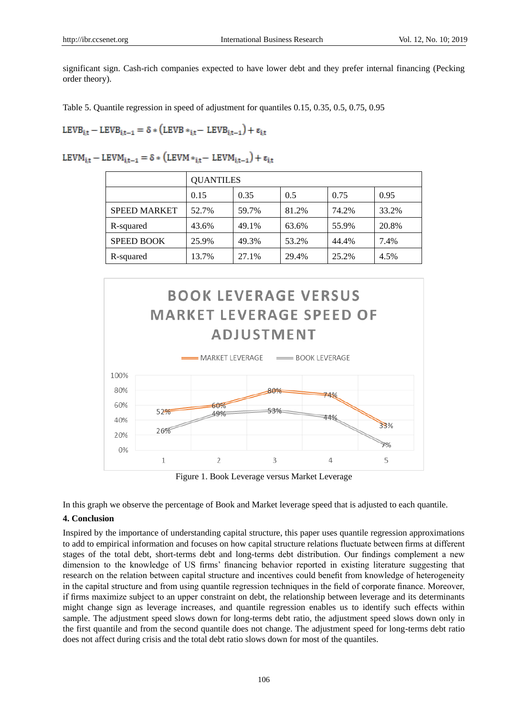significant sign. Cash-rich companies expected to have lower debt and they prefer internal financing (Pecking order theory).

ŗ

Table 5. Quantile regression in speed of adjustment for quantiles 0.15, 0.35, 0.5, 0.75, 0.95

$$
LEVB_{i,t} - LEVB_{i,t-1} = \delta * (LEVB *_{i,t} - LEVB_{i,t-1}) + \epsilon_{i,t}
$$

LEVM<sub>i.t</sub> – LEVM<sub>i.t-1</sub> =  $\delta$  \* (LEVM \*<sub>i.t</sub> – LEVM<sub>i.t-1</sub>) +  $\varepsilon$ <sub>i.t</sub>

|                     | <b>QUANTILES</b> |       |       |       |       |  |  |
|---------------------|------------------|-------|-------|-------|-------|--|--|
|                     | 0.15             | 0.35  | 0.5   | 0.75  | 0.95  |  |  |
| <b>SPEED MARKET</b> | 52.7%            | 59.7% | 81.2% | 74.2% | 33.2% |  |  |
| R-squared           | 43.6%            | 49.1% | 63.6% | 55.9% | 20.8% |  |  |
| <b>SPEED BOOK</b>   | 25.9%            | 49.3% | 53.2% | 44.4% | 7.4%  |  |  |
| R-squared           | 13.7%            | 27.1% | 29.4% | 25.2% | 4.5%  |  |  |



Figure 1. Book Leverage versus Market Leverage

In this graph we observe the percentage of Book and Market leverage speed that is adjusted to each quantile.

# **4. Conclusion**

Inspired by the importance of understanding capital structure, this paper uses quantile regression approximations to add to empirical information and focuses on how capital structure relations fluctuate between firms at different stages of the total debt, short-terms debt and long-terms debt distribution. Our findings complement a new dimension to the knowledge of US firms" financing behavior reported in existing literature suggesting that research on the relation between capital structure and incentives could benefit from knowledge of heterogeneity in the capital structure and from using quantile regression techniques in the field of corporate finance. Moreover, if firms maximize subject to an upper constraint on debt, the relationship between leverage and its determinants might change sign as leverage increases, and quantile regression enables us to identify such effects within sample. The adjustment speed slows down for long-terms debt ratio, the adjustment speed slows down only in the first quantile and from the second quantile does not change. The adjustment speed for long-terms debt ratio does not affect during crisis and the total debt ratio slows down for most of the quantiles.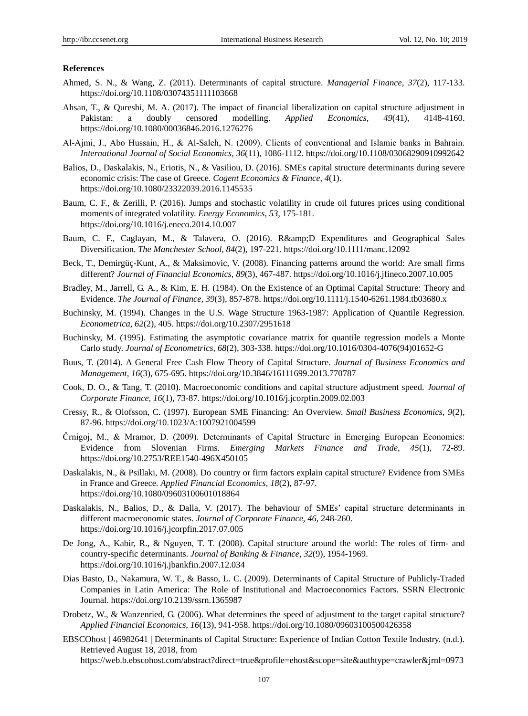## **References**

- Ahmed, S. N., & Wang, Z. (2011). Determinants of capital structure. *Managerial Finance, 37*(2), 117-133. https://doi.org/10.1108/03074351111103668
- Ahsan, T., & Qureshi, M. A. (2017). The impact of financial liberalization on capital structure adjustment in Pakistan: a doubly censored modelling. *Applied Economics, 49*(41), 4148-4160. https://doi.org/10.1080/00036846.2016.1276276
- Al‐Ajmi, J., Abo Hussain, H., & Al‐Saleh, N. (2009). Clients of conventional and Islamic banks in Bahrain. *International Journal of Social Economics, 36*(11), 1086-1112. https://doi.org/10.1108/03068290910992642
- Balios, D., Daskalakis, N., Eriotis, N., & Vasiliou, D. (2016). SMEs capital structure determinants during severe economic crisis: The case of Greece. *Cogent Economics & Finance, 4*(1). https://doi.org/10.1080/23322039.2016.1145535
- Baum, C. F., & Zerilli, P. (2016). Jumps and stochastic volatility in crude oil futures prices using conditional moments of integrated volatility. *Energy Economics, 53,* 175-181. https://doi.org/10.1016/j.eneco.2014.10.007
- Baum, C. F., Caglayan, M., & Talavera, O. (2016). R&D Expenditures and Geographical Sales Diversification. *The Manchester School, 84*(2), 197-221. https://doi.org/10.1111/manc.12092
- Beck, T., Demirgüç-Kunt, A., & Maksimovic, V. (2008). Financing patterns around the world: Are small firms different? *Journal of Financial Economics, 89*(3), 467-487. https://doi.org/10.1016/j.jfineco.2007.10.005
- Bradley, M., Jarrell, G. A., & Kim, E. H. (1984). On the Existence of an Optimal Capital Structure: Theory and Evidence. *The Journal of Finance, 39*(3), 857-878. https://doi.org/10.1111/j.1540-6261.1984.tb03680.x
- Buchinsky, M. (1994). Changes in the U.S. Wage Structure 1963-1987: Application of Quantile Regression. *Econometrica, 62*(2), 405. https://doi.org/10.2307/2951618
- Buchinsky, M. (1995). Estimating the asymptotic covariance matrix for quantile regression models a Monte Carlo study. *Journal of Econometrics, 68*(2), 303-338. https://doi.org/10.1016/0304-4076(94)01652-G
- Buus, T. (2014). A General Free Cash Flow Theory of Capital Structure. *Journal of Business Economics and Management, 16*(3), 675-695. https://doi.org/10.3846/16111699.2013.770787
- Cook, D. O., & Tang, T. (2010). Macroeconomic conditions and capital structure adjustment speed. *Journal of Corporate Finance, 16*(1), 73-87. https://doi.org/10.1016/j.jcorpfin.2009.02.003
- Cressy, R., & Olofsson, C. (1997). European SME Financing: An Overview. *Small Business Economics, 9*(2), 87-96. https://doi.org/10.1023/A:1007921004599
- Črnigoj, M., & Mramor, D. (2009). Determinants of Capital Structure in Emerging European Economies: Evidence from Slovenian Firms. *Emerging Markets Finance and Trade, 45*(1), 72-89. https://doi.org/10.2753/REE1540-496X450105
- Daskalakis, N., & Psillaki, M. (2008). Do country or firm factors explain capital structure? Evidence from SMEs in France and Greece. *Applied Financial Economics, 18*(2), 87-97. https://doi.org/10.1080/09603100601018864
- Daskalakis, N., Balios, D., & Dalla, V. (2017). The behaviour of SMEs' capital structure determinants in different macroeconomic states. *Journal of Corporate Finance, 46,* 248-260. https://doi.org/10.1016/j.jcorpfin.2017.07.005
- De Jong, A., Kabir, R., & Nguyen, T. T. (2008). Capital structure around the world: The roles of firm- and country-specific determinants. *Journal of Banking & Finance, 32*(9), 1954-1969[.](https://doi.org/10.1016/J.JBANKFIN.2007.12.034) https://doi.org/10.1016/j.jbankfin.2007.12.034
- Dias Basto, D., Nakamura, W. T., & Basso, L. C. (2009). Determinants of Capital Structure of Publicly-Traded Companies in Latin America: The Role of Institutional and Macroeconomics Factors. SSRN Electronic Journal. https://doi.org/10.2139/ssrn.1365987
- Drobetz, W., & Wanzenried, G. (2006). What determines the speed of adjustment to the target capital structure? *Applied Financial Economics, 16*(13), 941-958. https://doi.org/10.1080/09603100500426358
- EBSCOhost | 46982641 | Determinants of Capital Structure: Experience of Indian Cotton Textile Industry. (n.d.). Retrieved August 18, 2018, from [https://web.b.ebscohost.com/abstract?direct=true&profile=ehost&scope=site&authtype=crawler&jrnl=0973](https://web.b.ebscohost.com/abstract?direct=true&profile=ehost&scope=site&authtype=crawler&jrnl=09731954&asa=Y&AN=46982641&h=ezG2jZU6fJ1piPWufk3%2BOVhPOTrmfk84OUih7qXqU0c6GBqrSyy1Zzoyc8zLjXlWooz2OgT7si1wtypcfpoz6g%3D%3D&crl=c&resultNs=AdminWebAuth&resultL)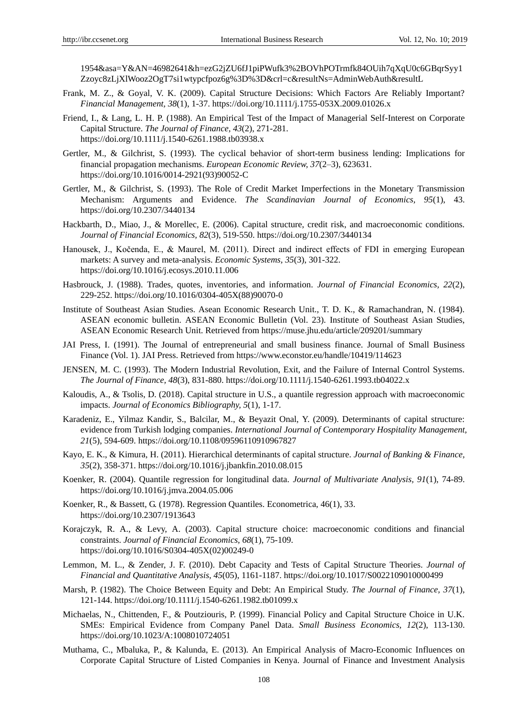[1954&asa=Y&AN=46982641&h=ezG2jZU6fJ1piPWufk3%2BOVhPOTrmfk84OUih7qXqU0c6GBqrSyy1](https://web.b.ebscohost.com/abstract?direct=true&profile=ehost&scope=site&authtype=crawler&jrnl=09731954&asa=Y&AN=46982641&h=ezG2jZU6fJ1piPWufk3%2BOVhPOTrmfk84OUih7qXqU0c6GBqrSyy1Zzoyc8zLjXlWooz2OgT7si1wtypcfpoz6g%3D%3D&crl=c&resultNs=AdminWebAuth&resultL) [Zzoyc8zLjXlWooz2OgT7si1wtypcfpoz6g%3D%3D&crl=c&resultNs=AdminWebAuth&resultL](https://web.b.ebscohost.com/abstract?direct=true&profile=ehost&scope=site&authtype=crawler&jrnl=09731954&asa=Y&AN=46982641&h=ezG2jZU6fJ1piPWufk3%2BOVhPOTrmfk84OUih7qXqU0c6GBqrSyy1Zzoyc8zLjXlWooz2OgT7si1wtypcfpoz6g%3D%3D&crl=c&resultNs=AdminWebAuth&resultL)

- Frank, M. Z., & Goyal, V. K. (2009). Capital Structure Decisions: Which Factors Are Reliably Important? *Financial Management, 38*(1), 1-37. https://doi.org/10.1111/j.1755-053X.2009.01026.x
- Friend, I., & Lang, L. H. P. (1988). An Empirical Test of the Impact of Managerial Self-Interest on Corporate Capital Structure. *The Journal of Finance, 43*(2), 271-281. https://doi.org/10.1111/j.1540-6261.1988.tb03938.x
- Gertler, M., & Gilchrist, S. (1993). The cyclical behavior of short-term business lending: Implications for financial propagation mechanisms. *European Economic Review, 37*(2–3), 623631. https://doi.org/10.1016/0014-2921(93)90052-C
- Gertler, M., & Gilchrist, S. (1993). The Role of Credit Market Imperfections in the Monetary Transmission Mechanism: Arguments and Evidence. *The Scandinavian Journal of Economics, 95*(1), 43. https://doi.org/10.2307/3440134
- Hackbarth, D., Miao, J., & Morellec, E. (2006). Capital structure, credit risk, and macroeconomic conditions. *Journal of Financial Economics, 82*(3), 519-550. https://doi.org/10.2307/3440134
- Hanousek, J., Kočenda, E., & Maurel, M. (2011). Direct and indirect effects of FDI in emerging European markets: A survey and meta-analysis. *Economic Systems, 35*(3), 301-322. https://doi.org/10.1016/j.ecosys.2010.11.006
- Hasbrouck, J. (1988). Trades, quotes, inventories, and information. *Journal of Financial Economics, 22*(2), 229-252. https://doi.org/10.1016/0304-405X(88)90070-0
- Institute of Southeast Asian Studies. Asean Economic Research Unit., T. D. K., & Ramachandran, N. (1984). ASEAN economic bulletin. ASEAN Economic Bulletin (Vol. 23). Institute of Southeast Asian Studies, ASEAN Economic Research Unit. Retrieved from<https://muse.jhu.edu/article/209201/summary>
- JAI Press, I. (1991). The Journal of entrepreneurial and small business finance. Journal of Small Business Finance (Vol. 1). JAI Press. Retrieved from<https://www.econstor.eu/handle/10419/114623>
- JENSEN, M. C. (1993). The Modern Industrial Revolution, Exit, and the Failure of Internal Control Systems. *The Journal of Finance, 48*(3), 831-880. https://doi.org/10.1111/j.1540-6261.1993.tb04022.x
- Kaloudis, A., & Tsolis, D. (2018). Capital structure in U.S., a quantile regression approach with macroeconomic impacts. *Journal of Economics Bibliography, 5*(1), 1-17.
- Karadeniz, E., Yilmaz Kandir, S., Balcilar, M., & Beyazit Onal, Y. (2009). Determinants of capital structure: evidence from Turkish lodging companies. *International Journal of Contemporary Hospitality Management, 21*(5), 594-609. https://doi.org/10.1108/09596110910967827
- Kayo, E. K., & Kimura, H. (2011). Hierarchical determinants of capital structure. *Journal of Banking & Finance, 35*(2), 358-371. https://doi.org/10.1016/j.jbankfin.2010.08.015
- Koenker, R. (2004). Quantile regression for longitudinal data. *Journal of Multivariate Analysis, 91*(1), 74-89. https://doi.org/10.1016/j.jmva.2004.05.006
- Koenker, R., & Bassett, G. (1978). Regression Quantiles. Econometrica, 46(1), 33. https://doi.org/10.2307/1913643
- Korajczyk, R. A., & Levy, A. (2003). Capital structure choice: macroeconomic conditions and financial constraints. *Journal of Financial Economics, 68*(1), 75-109. https://doi.org/10.1016/S0304-405X(02)00249-0
- Lemmon, M. L., & Zender, J. F. (2010). Debt Capacity and Tests of Capital Structure Theories. *Journal of Financial and Quantitative Analysis, 45*(05), 1161-1187. https://doi.org/10.1017/S0022109010000499
- Marsh, P. (1982). The Choice Between Equity and Debt: An Empirical Study. *The Journal of Finance, 37*(1), 121-144. https://doi.org/10.1111/j.1540-6261.1982.tb01099.x
- Michaelas, N., Chittenden, F., & Poutziouris, P. (1999). Financial Policy and Capital Structure Choice in U.K. SMEs: Empirical Evidence from Company Panel Data. *Small Business Economics, 12*(2), 113-130. https://doi.org/10.1023/A:1008010724051
- Muthama, C., Mbaluka, P., & Kalunda, E. (2013). An Empirical Analysis of Macro-Economic Influences on Corporate Capital Structure of Listed Companies in Kenya. Journal of Finance and Investment Analysis